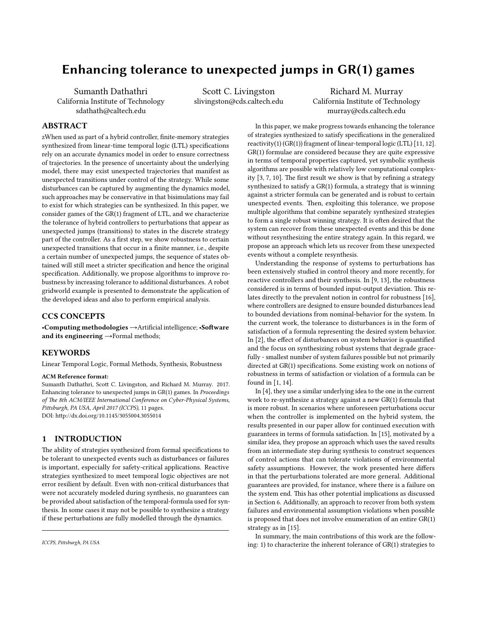# Enhancing tolerance to unexpected jumps in GR(1) games

Sumanth Dathathri California Institute of Technology sdathath@caltech.edu

Scott C. Livingston slivingston@cds.caltech.edu

Richard M. Murray California Institute of Technology murray@cds.caltech.edu

### ABSTRACT

zWhen used as part of a hybrid controller, finite-memory strategies synthesized from linear-time temporal logic (LTL) specifications rely on an accurate dynamics model in order to ensure correctness of trajectories. In the presence of uncertainty about the underlying model, there may exist unexpected trajectories that manifest as unexpected transitions under control of the strategy. While some disturbances can be captured by augmenting the dynamics model, such approaches may be conservative in that bisimulations may fail to exist for which strategies can be synthesized. In this paper, we consider games of the GR(1) fragment of LTL, and we characterize the tolerance of hybrid controllers to perturbations that appear as unexpected jumps (transitions) to states in the discrete strategy part of the controller. As a first step, we show robustness to certain unexpected transitions that occur in a finite manner, i.e., despite a certain number of unexpected jumps, the sequence of states obtained will still meet a stricter specification and hence the original specification. Additionally, we propose algorithms to improve robustness by increasing tolerance to additional disturbances. A robot gridworld example is presented to demonstrate the application of the developed ideas and also to perform empirical analysis.

### CCS CONCEPTS

•Computing methodologies → Artificial intelligence; • Software and its engineering  $\rightarrow$  Formal methods;

### **KEYWORDS**

Linear Temporal Logic, Formal Methods, Synthesis, Robustness

### ACM Reference format:

Sumanth Dathathri, Scott C. Livingston, and Richard M. Murray. 2017. Enhancing tolerance to unexpected jumps in GR(1) games. In Proceedings of The 8th ACM/IEEE International Conference on Cyber-Physical Systems, Pittsburgh, PA USA, April 2017 (ICCPS), [11](#page-10-0) pages. DOI: http://dx.doi.org/10.1145/3055004.3055014

### 1 INTRODUCTION

The ability of strategies synthesized from formal specifications to be tolerant to unexpected events such as disturbances or failures is important, especially for safety-critical applications. Reactive strategies synthesized to meet temporal logic objectives are not error resilient by default. Even with non-critical disturbances that were not accurately modeled during synthesis, no guarantees can be provided about satisfaction of the temporal-formula used for synthesis. In some cases it may not be possible to synthesize a strategy if these perturbations are fully modelled through the dynamics.

In this paper, we make progress towards enhancing the tolerance of strategies synthesized to satisfy specifications in the generalized reactivity(1)  $(GR(1))$  fragment of linear-temporal logic (LTL) [\[11,](#page-8-0) [12\]](#page-8-1). GR(1) formulae are considered because they are quite expressive in terms of temporal properties captured, yet symbolic synthesis algorithms are possible with relatively low computational complexity  $[3, 7, 10]$  $[3, 7, 10]$  $[3, 7, 10]$  $[3, 7, 10]$  $[3, 7, 10]$ . The first result we show is that by refining a strategy synthesized to satisfy a GR(1) formula, a strategy that is winning against a stricter formula can be generated and is robust to certain unexpected events. Then, exploiting this tolerance, we propose multiple algorithms that combine separately synthesized strategies to form a single robust winning strategy. It is often desired that the system can recover from these unexpected events and this be done without resynthesizing the entire strategy again. In this regard, we propose an approach which lets us recover from these unexpected events without a complete resynthesis.

Understanding the response of systems to perturbations has been extensively studied in control theory and more recently, for reactive controllers and their synthesis. In [\[9,](#page-8-5) [13\]](#page-8-6), the robustness considered is in terms of bounded input-output deviation. This relates directly to the prevalent notion in control for robustness [\[16\]](#page-8-7), where controllers are designed to ensure bounded disturbances lead to bounded deviations from nominal-behavior for the system. In the current work, the tolerance to disturbances is in the form of satisfaction of a formula representing the desired system behavior. In  $[2]$ , the effect of disturbances on system behavior is quantified and the focus on synthesizing robust systems that degrade gracefully - smallest number of system failures possible but not primarily directed at  $GR(1)$  specifications. Some existing work on notions of robustness in terms of satisfaction or violation of a formula can be found in [\[1,](#page-8-9) [14\]](#page-8-10).

In [\[4\]](#page-8-11), they use a similar underlying idea to the one in the current work to re-synthesize a strategy against a new GR(1) formula that is more robust. In scenarios where unforeseen perturbations occur when the controller is implemented on the hybrid system, the results presented in our paper allow for continued execution with guarantees in terms of formula satisfaction. In [\[15\]](#page-8-12), motivated by a similar idea, they propose an approach which uses the saved results from an intermediate step during synthesis to construct sequences of control actions that can tolerate violations of environmental safety assumptions. However, the work presented here differs in that the perturbations tolerated are more general. Additional guarantees are provided, for instance, where there is a failure on the system end. This has other potential implications as discussed in Section [6.](#page-8-13) Additionally, an approach to recover from both system failures and environmental assumption violations when possible is proposed that does not involve enumeration of an entire GR(1) strategy as in [\[15\]](#page-8-12).

In summary, the main contributions of this work are the following: 1) to characterize the inherent tolerance of GR(1) strategies to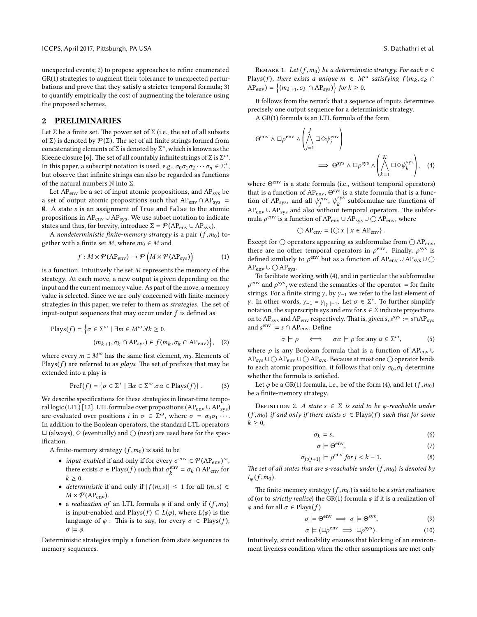unexpected events; 2) to propose approaches to refine enumerated GR(1) strategies to augment their tolerance to unexpected perturbations and prove that they satisfy a stricter temporal formula; 3) to quantify empirically the cost of augmenting the tolerance using the proposed schemes.

### <span id="page-1-1"></span>2 PRELIMINARIES

Let  $\Sigma$  be a finite set. The power set of  $\Sigma$  (i.e., the set of all subsets of Σ) is denoted by  $\mathcal{P}(\Sigma).$  The set of all finite strings formed from concatenating elements of  $\Sigma$  is denoted by  $\Sigma^*$ , which is known as the Kleene closure [\[6\]](#page-8-14). The set of all countably infinite strings of  $\Sigma$  is  $\Sigma^\omega$ . In this paper, a subscript notation is used, e.g.,  $\sigma_0 \sigma_1 \sigma_2 \cdots \sigma_n \in \Sigma^*$ , but observe that infinite strings can also be regarded as functions of the natural numbers  $\mathbb N$  into  $\Sigma$ .

Let  $AP_{env}$  be a set of input atomic propositions, and  $AP_{sys}$  be a set of output atomic propositions such that  $AP_{env} \cap AP_{sys}$  = ∅. A state s is an assignment of True and False to the atomic propositions in  $AP_{env} \cup AP_{sys}$ . We use subset notation to indicate states and thus, for brevity, introduce  $\Sigma = \mathcal{P}(AP_{env} \cup AP_{sys})$ .

A nondeterministic finite-memory strategy is a pair  $(f, m_0)$  together with a finite set M, where  $m_0 \in M$  and

$$
f: M \times \mathcal{P}(\text{AP}_{\text{env}}) \to \mathcal{P}\left(M \times \mathcal{P}(\text{AP}_{\text{sys}})\right) \tag{1}
$$

is a function. Intuitively the set  $M$  represents the memory of the strategy. At each move, a new output is given depending on the input and the current memory value. As part of the move, a memory value is selected. Since we are only concerned with finite-memory strategies in this paper, we refer to them as strategies. The set of input-output sequences that may occur under  $f$  is defined as

$$
\text{Plays}(f) = \left\{ \sigma \in \Sigma^{\omega} \mid \exists m \in M^{\omega}. \forall k \ge 0. \right. \left. (m_{k+1}, \sigma_k \cap \text{AP}_{\text{sys}}) \in f(m_k, \sigma_k \cap \text{AP}_{\text{env}}) \right\}, \quad (2)
$$

where every  $m \in M^{\omega}$  has the same first element,  $m_0$ . Elements of Plays( $f$ ) are referred to as *plays*. The set of prefixes that may be extended into a play is

<span id="page-1-3"></span>
$$
\operatorname{Pref}(f) = \{ \sigma \in \Sigma^* \mid \exists \alpha \in \Sigma^{\omega} . \sigma \alpha \in \operatorname{Plays}(f) \}. \tag{3}
$$

We describe specifications for these strategies in linear-time tempo-ral logic (LTL) [\[12\]](#page-8-1). LTL formulae over propositions ( $AP_{env} \cup AP_{sys}$ ) are evaluated over positions *i* in  $\sigma \in \Sigma^{\omega}$ , where  $\sigma = \sigma_0 \sigma_1 \cdots$ . In addition to the Boolean operators, the standard LTL operators  $\Box$  (always),  $\diamond$  (eventually) and  $\bigcirc$  (next) are used here for the specification.

A finite-memory strategy  $(f, m_0)$  is said to be

- *input-enabled* if and only if for every  $\sigma^{\text{env}} \in \mathcal{P}(\text{AP}_{\text{env}})^{\omega}$ , there exists  $\sigma \in \text{Plays}(f)$  such that  $\sigma_k^{\text{env}}$  $\frac{\partial}{\partial k}$  =  $\sigma_k \cap AP_{env}$  for  $k \geq 0$ .
- deterministic if and only if  $|f(m,s)| \leq 1$  for all  $(m,s) \in$  $M \times \mathcal{P}(AP_{env})$ .
- a realization of an LTL formula  $\varphi$  if and only if  $(f, m_0)$ is input-enabled and Plays( $f$ )  $\subseteq L(\varphi)$ , where  $L(\varphi)$  is the language of  $\varphi$ . This is to say, for every  $\sigma \in$  Plays(f),  $\sigma \models \varphi$ .

Deterministic strategies imply a function from state sequences to memory sequences.

REMARK 1. Let  $(f, m_0)$  be a deterministic strategy. For each  $\sigma \in$ Plays(f), there exists a unique  $m \in M^\omega$  satisfying  $f(m_k, \sigma_k \cap \Delta_{\text{max}}) = f(m_k, \sigma_k \cap \Delta_{\text{max}})$  $AP_{env}$ ) =  $\{(m_{k+1}, \sigma_k \cap AP_{sys})\}$  for  $k \ge 0$ .

It follows from the remark that a sequence of inputs determines precisely one output sequence for a deterministic strategy.

A GR(1) formula is an LTL formula of the form

$$
\Theta^{\text{env}} \wedge \Box \rho^{\text{env}} \wedge \left( \bigwedge_{j=1}^{J} \Box \Diamond \psi_j^{\text{env}} \right) \longrightarrow \Theta^{\text{sys}} \wedge \Box \rho^{\text{sys}} \wedge \left( \bigwedge_{k=1}^{K} \Box \Diamond \psi_k^{\text{sys}} \right), \quad (4)
$$

where Θ<sup>env</sup> is a state formula (i.e., without temporal operators) that is a function of  $AP_{env}$ ,  $\Theta^{sys}$  is a state formula that is a function of AP<sub>sys</sub>, and all  $\psi_i^{\text{env}}$  $\lim_{j}$ ,  $\psi_k^{\text{sys}}$  $\kappa_k^{\text{sys}}$  subformulae are functions of  $AP_{env} \cup AP_{sys}$  and also without temporal operators. The subformula  $\rho^{\text{env}}$  is a function of AP<sub>env</sub> ∪ AP<sub>sys</sub> ∪ ○ AP<sub>env</sub>, where

<span id="page-1-0"></span>
$$
\bigcirc AP_{env} = \{ \bigcirc x \mid x \in AP_{env} \}
$$

 $\bigcirc AP_{env} = \{ \bigcirc x \mid x \in AP_{env} \}.$ <br>Except for  $\bigcirc$  operators appearing as subformulae from  $\bigcirc AP_{env}$ , there are no other temporal operators in  $\rho^{\text{env}}$ . Finally,  $\rho^{\text{sys}}$  is defined similarly to  $\rho^{\text{env}}$  but as a function of AP<sub>env</sub>∪AP<sub>sys</sub>∪  $AP_{env} ∪ ∩ AP_{sys}.$ 

To facilitate working with [\(4\)](#page-1-0), and in particular the subformulae  $\rho^{\text{env}}$  and  $\rho^{\text{sys}}$ , we extend the semantics of the operator  $\models$  for finite strings. For a finite string  $\gamma$ , by  $\gamma$ <sub>-1</sub> we refer to the last element of *γ*. In other words, *γ*<sub>-1</sub> = *γ*<sub>|*γ*|-1</sub>. Let  $\sigma \in \Sigma^*$ . To further simplify notation, the superscripts sys and env for  $s \in \Sigma$  indicate projections on to  $AP_{sys}$  and  $AP_{env}$  respectively. That is, given s,  $s^{sys} := s \cap AP_{sys}$ and  $s^{env} := s \cap AP_{env}$ . Define

$$
\sigma \models \rho \iff \sigma\alpha \models \rho \text{ for any } \alpha \in \Sigma^{\omega}, \tag{5}
$$

<span id="page-1-2"></span>where  $\rho$  is any Boolean formula that is a function of AP<sub>env</sub> ∪ AP<sub>sys</sub> ∪  $\bigcirc$  AP<sub>env</sub> ∪  $\bigcirc$  AP<sub>sys</sub>. Because at most one  $\bigcirc$  operator binds to each atomic proposition, it follows that only  $\sigma_0$ ,  $\sigma_1$  determine whether the formula is satisfied.

Let  $\varphi$  be a GR(1) formula, i.e., be of the form [\(4\)](#page-1-0), and let  $(f, m_0)$ be a finite-memory strategy.

DEFINITION 2. A state  $s \in \Sigma$  is said to be  $\varphi$ -reachable under  $(f, m_0)$  if and only if there exists  $\sigma \in$  Plays $(f)$  such that for some  $k \geq 0$ ,

$$
\sigma_k = s,\tag{6}
$$

$$
\sigma \models \Theta^{\text{env}},\tag{7}
$$

$$
\sigma_{j:(j+1)} \models \rho^{\text{env}} \text{ for } j < k-1. \tag{8}
$$

The set of all states that are φ-reachable under (f, m<sub>0</sub>) is denoted by  $I_{\varphi}(f,m_0)$ .

The finite-memory strategy  $(f, m_0)$  is said to be a strict realization of (or to *strictly realize*) the GR(1) formula  $\varphi$  if it is a realization of  $\varphi$  and for all  $\sigma \in$  Plays(f)

<span id="page-1-5"></span><span id="page-1-4"></span>
$$
\sigma \models \Theta^{\text{env}} \implies \sigma \models \Theta^{\text{sys}}, \tag{9}
$$

$$
\sigma \models (\boxdot \rho^{\text{env}} \implies \boxdot \rho^{\text{sys}}).
$$
\n(10)

\nIntuitively, strict realizability ensures that blocking of an environ-

ment liveness condition when the other assumptions are met only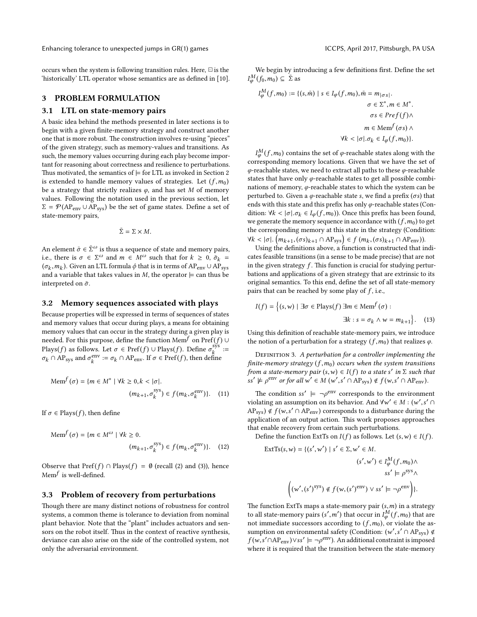occurs when the system is following transition rules. Here,  $\Xi$  is the 'historically' LTL operator whose semantics are as defined in [\[10\]](#page-8-4).

### <span id="page-2-0"></span>3 PROBLEM FORMULATION

### 3.1 LTL on state-memory pairs

A basic idea behind the methods presented in later sections is to begin with a given finite-memory strategy and construct another one that is more robust. The construction involves re-using "pieces" of the given strategy, such as memory-values and transitions. As such, the memory values occurring during each play become important for reasoning about correctness and resilience to perturbations. Thus motivated, the semantics of  $\models$  for LTL as invoked in Section [2](#page-1-1) is extended to handle memory values of strategies. Let  $(f, m_0)$ be a strategy that strictly realizes  $\varphi$ , and has set M of memory values. Following the notation used in the previous section, let  $\Sigma = \mathcal{P}(AP_{env} \cup AP_{sys})$  be the set of game states. Define a set of state-memory pairs,

 $\bar{\Sigma} = \Sigma \times M$ .

An element  $\bar{\sigma} \in \bar{\Sigma}^{\omega}$  is thus a sequence of state and memory pairs, i.e., there is  $\sigma \in \Sigma^{\omega}$  and  $m \in M^{\omega}$  such that for  $k \ge 0$ ,  $\bar{\sigma}_k =$  $(\sigma_k, m_k)$ . Given an LTL formula  $\phi$  that is in terms of AP<sub>env</sub> ∪ AP<sub>sys</sub><br>and a variable that takes values in M, the operator  $\vdash$  can thus be and a variable that takes values in *M*, the operator  $\models$  can thus be interpreted on  $\bar{\sigma}$ .

### 3.2 Memory sequences associated with plays

Because properties will be expressed in terms of sequences of states and memory values that occur during plays, a means for obtaining memory values that can occur in the strategy during a given play is needed. For this purpose, define the function Mem<sup>f</sup> on Pref(f) ∪ Plays(f) as follows. Let  $\sigma \in \text{Pref}(f) \cup \text{Plays}(f)$ . Define  $\sigma_k^{\text{sys}} :=$  $\sigma_k \cap AP_{sys}$  and  $\sigma_k^{env} := \sigma_k \cap AP_{env}$ . If  $\sigma \in Pref(f)$ , then defined  $k_k^{\text{env}} := \sigma_k \cap \text{AP}_{\text{env}}.$  If  $\sigma \in \text{Pref}(f)$ , then define

$$
\text{Mem}^f(\sigma) = \{ m \in M^* \mid \forall k \ge 0, k < |\sigma|. \tag{11}
$$
\n
$$
(m_{k+1}, \sigma_k^{\text{sys}}) \in f(m_k, \sigma_k^{\text{env}}) \}. \tag{11}
$$

If  $\sigma \in$  Plays(*f*), then define

$$
\text{Mem}^f(\sigma) = \{ m \in M^\omega \mid \forall k \ge 0. \tag{12}
$$
\n
$$
(m_{k+1}, \sigma_k^{\text{sys}}) \in f(m_k, \sigma_k^{\text{env}}) \}.
$$

Observe that  $\text{Pref}(f) \cap \text{Plays}(f) = \emptyset$  (recall [\(2\)](#page-1-2) and [\(3\)](#page-1-3)), hence Mem $^f$  is well-defined.

### 3.3 Problem of recovery from perturbations

Though there are many distinct notions of robustness for control systems, a common theme is tolerance to deviation from nominal plant behavior. Note that the "plant" includes actuators and sensors on the robot itself. Thus in the context of reactive synthesis, deviance can also arise on the side of the controlled system, not only the adversarial environment.

We begin by introducing a few definitions first. Define the set  $I_{\varphi}^{M}(f_0,m_0) \subseteq \overline{\Sigma}$  as

$$
I_{\varphi}^{M}(f, m_{0}) := \{ (s, \bar{m}) \mid s \in I_{\varphi}(f, m_{0}), \bar{m} = m_{|\sigma s|} \}
$$

$$
\sigma \in \Sigma^{*}, m \in M^{*}.
$$

$$
\sigma s \in Pref(f) \land
$$

$$
m \in \text{Mem}^{f}(\sigma s) \land
$$

$$
\forall k < |\sigma| \cdot \sigma_{k} \in I_{\varphi}(f, m_{0}) \}.
$$

 $I_{\phi}^{M}(f, m_{0})$  contains the set of  $\phi$ -reachable states along with the responding memory locations. Given that we have the set of corresponding memory locations. Given that we have the set of  $\varphi$ -reachable states, we need to extract all paths to these  $\varphi$ -reachable states that have only  $\varphi$ -reachable states to get all possible combinations of memory,  $\varphi$ -reachable states to which the system can be perturbed to. Given a  $\varphi$ -reachable state s, we find a prefix ( $\sigma$ s) that ends with this state and this prefix has only  $\varphi$ -reachable states (Condition:  $\forall k < |\sigma| \cdot \sigma_k \in I_\varphi(f, m_0)$ ). Once this prefix has been found, we generate the memory sequence in accordance with  $(f, m_0)$  to get the corresponding memory at this state in the strategy (Condition:  $\forall k < |\sigma|$ .  $(m_{k+1}, (\sigma s)_{k+1} \cap AP_{sys}) \in f(m_k, (\sigma s)_{k+1} \cap AP_{env})$ .<br>Lising the definitions above a function is constructed that is

Using the definitions above, a function is constructed that indicates feasible transitions (in a sense to be made precise) that are not in the given strategy  $f$ . This function is crucial for studying perturbations and applications of a given strategy that are extrinsic to its original semantics. To this end, define the set of all state-memory pairs that can be reached by some play of  $f$ , i.e.,

$$
I(f) = \left\{ (s, w) \mid \exists \sigma \in \text{Plays}(f) \, \exists m \in \text{Mem}^f(\sigma) : \exists k : s = \sigma_k \land w = m_{k+1} \right\}. \tag{13}
$$

Using this definition of reachable state-memory pairs, we introduce the notion of a perturbation for a strategy  $(f, m_0)$  that realizes  $\varphi$ .

DEFINITION 3. A perturbation for a controller implementing the finite-memory strategy  $(f, m_0)$  occurs when the system transitions from a state-memory pair  $(s, w) \in I(f)$  to a state s' in  $\Sigma$  such that  $ss' \vDash c^{env}$  or for all  $w' \in M(w', s' \cap AP) \neq f(w, s' \cap AP)$  $ss' \not\models \rho^{\text{env}}$  or for all  $w' \in M(w', s' \cap AP_{sys}) \notin f(w, s' \cap AP_{env}).$ 

The condition ss'  $\models \neg \rho^{\text{env}}$  corresponds to the environment violating an assumption on its behavior. And  $\forall w' \in M : (w', s' \cap A P)$  of  $f(w, s' \cap A P)$  corresponds to a disturbance during the  $AP_{sys}$ )  $\notin f(w, s' \cap AP_{env})$  corresponds to a disturbance during the application of an output action. This work proposes approaches application of an output action. This work proposes approaches that enable recovery from certain such perturbations.

Define the function ExtTs on  $I(f)$  as follows. Let  $(s, w) \in I(f)$ .

$$
\begin{aligned} \text{ExtTs}(s, w) &= \{ (s', w') \mid s' \in \Sigma, w' \in M. \\ & (s', w') \in I_{\varphi}^M(f, m_0) \wedge \\ & ss' \models \rho^{\text{sys}} \wedge \\ & \left( (w', (s')^{\text{sys}}) \notin f(w, (s')^{\text{env}}) \vee ss' \models \neg \rho^{\text{env}} \right) \}. \end{aligned}
$$

The function ExtTs maps a state-memory pair  $(s, m)$  in a strategy to all state-memory pairs  $(s', m')$  that occur in  $I_{\phi}^M(f, m_0)$  that are not immediate successors according to  $(f, m_0)$ , or violate the assumption on environmental safety (Condition:  $(w', s' \cap AP_{sys}) \notin f(w, s' \cap AP_{sys}) \vee (s' \vdash \neg \circ^{env})$ . An additional constraint is imposed  $f(w, s' \cap AP_{env}) \vee ss' \models \neg \rho^{env}$ . An additional constraint is imposed where it is required that the transition between the state memory where it is required that the transition between the state-memory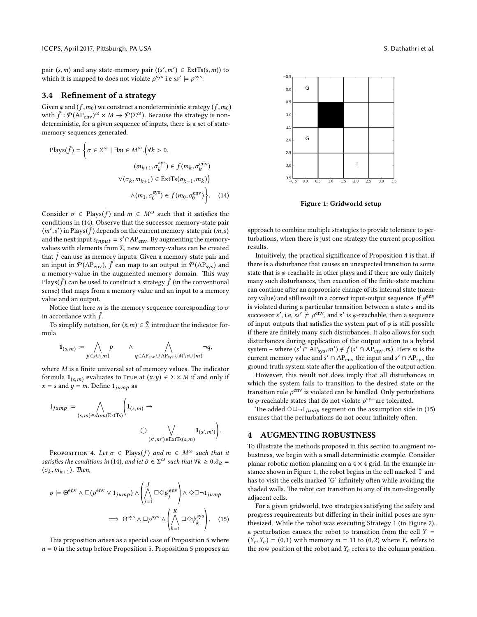pair  $(s, m)$  and any state-memory pair  $((s', m') \in \text{ExtTs}(s, m))$  to<br>which it is manned to does not violate  $o^{sys}$  i.e.sof  $\vdash o^{sys}$ which it is mapped to does not violate  $\rho$ <sup>sys</sup> i.e ss'  $\models \rho$ <sup>sys</sup>.

### <span id="page-3-4"></span>3.4 Refinement of a strategy

Given  $\varphi$  and  $(f, m_0)$  we construct a nondeterministic strategy  $(\bar{f}, m_0)$ <br>with  $\bar{f} \cdot \varphi ( \Delta P)^{-\omega} \vee M \rightarrow \varphi (\bar{\Sigma}^{\omega})$ . Because the strategy is nonwith  $\bar{f}$ :  $\mathcal{P}(AP_{env})^{\omega} \times M \rightarrow \mathcal{P}(\bar{\Sigma}^{\omega})$ . Because the strategy is nondeterministic, for a given sequence of inputs, there is a set of statememory sequences generated.

$$
\text{Plays}(\bar{f}) = \left\{ \sigma \in \Sigma^{\omega} \mid \exists m \in M^{\omega}. \left( \forall k > 0. \right. \right. \right. \\
 \left. \left( m_{k+1}, \sigma_k^{\text{sys}} \right) \in f(m_k, \sigma_k^{\text{env}} \right) \\
 \vee (\sigma_k, m_{k+1}) \in \text{ExtTs}(\sigma_{k-1}, m_k) \right\} \\
 \wedge (m_1, \sigma_0^{\text{sys}}) \in f(m_0, \sigma_0^{\text{env}}) \left\}.
$$
\n(14)

Consider  $\sigma \in \text{Plays}(\bar{f})$  and  $m \in M^\omega$  such that it satisfies the conditions in [\(14\)](#page-3-0). Observe that the successor memory-state pair  $(m',s')$  in Plays(f) depends on the current memory-state pair  $(m,s)$ <br>and the next input  $s$ . and the next input  $s_{input} = s' \cap AP_{env}$ . By augmenting the memoryvalues with elements from Σ, new memory-values can be created that  $\bar{f}$  can use as memory inputs. Given a memory-state pair and an input in  $P(\text{AP}_{env})$ ,  $\bar{f}$  can map to an output in  $P(\text{AP}_{sys})$  and a memory-value in the augmented memory domain. This way  $\overline{P}$  Plays( $\overline{f}$ ) can be used to construct a strategy  $\overline{f}$  (in the conventional sense) that maps from a memory value and an input to a memory value and an output.

Notice that here *m* is the memory sequence corresponding to  $\sigma$ in accordance with  $\bar{f}$ .

To simplify notation, for  $(s,m) \in \overline{\Sigma}$  introduce the indicator formula

$$
\mathbf{1}_{(s,m)} := \bigwedge_{p \in s \cup \{m\}} p \qquad \wedge \bigwedge_{q \in AP_{env} \cup AP_{sys} \cup M \setminus s \cup \{m\}} \neg q,
$$

where  $M$  is a finite universal set of memory values. The indicator formula  $\mathbf{1}_{(s,m)}$  evaluates to True at  $(x,y) \in \Sigma \times M$  if and only if  $x = s$  and  $y = m$ . Define  $1_{jump}$  as

$$
1_{jump} := \bigwedge_{(s,m) \in dom(\text{ExtTs})} \left( \mathbf{1}_{(s,m)} \to \bigcup_{(s',m') \in \text{ExtTs}(s,m)} \mathbf{1}_{(s',m')} \right).
$$

<span id="page-3-1"></span>Proposition 4. Let  $\sigma \in$  Plays( $\bar{f}$ ) and  $m \in M^\omega$  such that it satisfies the conditions in [\(14\)](#page-3-0), and let  $\bar{\sigma} \in \bar{\Sigma}^{\omega}$  such that  $\forall k \geq 0$ .  $\bar{\sigma}_k =$  $(\sigma_k, m_{k+1})$ . Then,

$$
\bar{\sigma} \models \Theta^{\text{env}} \land \Box(\rho^{\text{env}} \lor 1_{jump}) \land \left(\bigwedge_{j=1}^{J} \Box \Diamond \psi_j^{\text{env}}\right) \land \Diamond \Box \neg 1_{jump}
$$

$$
\implies \Theta^{\text{sys}} \land \Box \rho^{\text{sys}} \land \left(\bigwedge_{k=1}^{K} \Box \Diamond \psi_k^{\text{sys}}\right). \quad (15)
$$

This proposition arises as a special case of Proposition [5](#page-5-0) where  $n = 0$  in the setup before Proposition [5.](#page-5-0) Proposition [5](#page-5-0) proposes an

<span id="page-3-3"></span>

Figure 1: Gridworld setup

<span id="page-3-0"></span>approach to combine multiple strategies to provide tolerance to perturbations, when there is just one strategy the current proposition results.

Intuitively, the practical signicance of Proposition [4](#page-3-1) is that, if there is a disturbance that causes an unexpected transition to some state that is  $\varphi$ -reachable in other plays and if there are only finitely many such disturbances, then execution of the finite-state machine can continue after an appropriate change of its internal state (memory value) and still result in a correct input-output sequence. If  $\rho^{\text{env}}$ is violated during a particular transition between a state s and its successor s', i.e, ss'  $\models \rho^{\text{env}}$ , and s' is  $\varphi$ -reachable, then a sequence of input-outputs that satisfies the system part of  $\varphi$  is still possible if there are finitely many such disturbances. It also allows for such disturbances during application of the output action to a hybrid system – where  $(s' \cap AP_{sys}, m') \notin f(s' \cap AP_{env}, m)$ . Here *m* is the current memory value and  $s' \cap AP$  the input and  $s' \cap AP$  the current memory value and  $s' \cap AP_{env}$  the input and  $s' \cap AP_{sys}$  the ground truth system state after the application of the output action.

However, this result not does imply that all disturbances in which the system fails to transition to the desired state or the transition rule  $\rho^{\text{env}}$  is violated can be handled. Only perturbations to  $\varphi$ -reachable states that do not violate  $\rho^{\text{sys}}$  are tolerated.

The added  $\Diamond \Box \neg 1_{jump}$  segment on the assumption side in [\(15\)](#page-3-2) ensures that the perturbations do not occur infinitely often.

### <span id="page-3-5"></span>4 AUGMENTING ROBUSTNESS

To illustrate the methods proposed in this section to augment robustness, we begin with a small deterministic example. Consider planar robotic motion planning on a  $4 \times 4$  grid. In the example instance shown in Figure [1,](#page-3-3) the robot begins in the cell marked 'I' and has to visit the cells marked 'G' infinitely often while avoiding the shaded walls. The robot can transition to any of its non-diagonally adjacent cells.

<span id="page-3-2"></span>For a given gridworld, two strategies satisfying the safety and progress requirements but differing in their initial poses are synthesized. While the robot was executing Strategy 1 (in Figure [2\)](#page-4-0), a perturbation causes the robot to transition from the cell  $Y =$  $(Y_r, Y_c) = (0,1)$  with memory  $m = 11$  to  $(0,2)$  where  $Y_r$  refers to the row position of the robot and  $Y_c$  refers to the column position.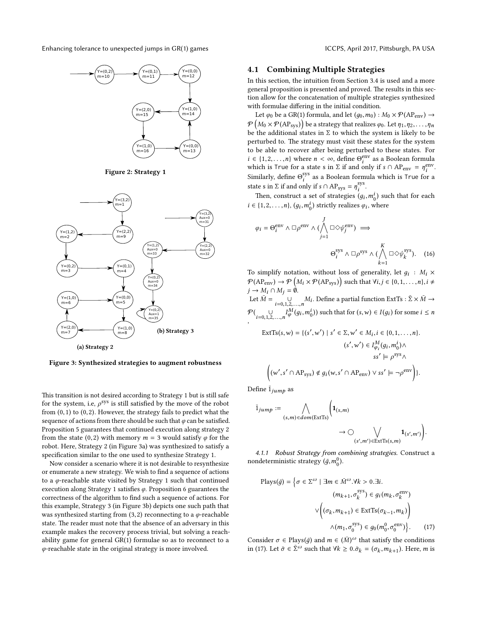<span id="page-4-0"></span>

Figure 2: Strategy 1

<span id="page-4-1"></span>

Figure 3: Synthesized strategies to augment robustness

This transition is not desired according to Strategy 1 but is still safe for the system, i.e,  $\rho^{sys}$  is still satisfied by the move of the robot from  $(0,1)$  to  $(0,2)$ . However, the strategy fails to predict what the sequence of actions from there should be such that  $\varphi$  can be satisfied. Proposition [5](#page-5-0) guarantees that continued execution along strategy 2 from the state (0,2) with memory  $m = 3$  would satisfy  $\varphi$  for the robot. Here, Strategy 2 (in Figure [3a\)](#page-4-1) was synthesized to satisfy a specification similar to the one used to synthesize Strategy 1.

Now consider a scenario where it is not desirable to resynthesize or enumerate a new strategy. We wish to find a sequence of actions to a  $\varphi$ -reachable state visited by Strategy 1 such that continued execution along Strategy 1 satisfies  $\varphi$ . Proposition [6](#page-6-0) guarantees the correctness of the algorithm to find such a sequence of actions. For this example, Strategy 3 (in Figure [3b\)](#page-4-1) depicts one such path that was synthesized starting from (3,2) reconnecting to a  $\varphi$ -reachable state. The reader must note that the absence of an adversary in this example makes the recovery process trivial, but solving a reachability game for general GR(1) formulae so as to reconnect to a  $\varphi$ -reachable state in the original strategy is more involved.

### <span id="page-4-3"></span>4.1 Combining Multiple Strategies

In this section, the intuition from Section [3.4](#page-3-4) is used and a more general proposition is presented and proved. The results in this section allow for the concatenation of multiple strategies synthesized with formulae differing in the initial condition.

Let  $\varphi_0$  be a GR(1) formula, and let  $(g_0, m_0) : M_0 \times \mathcal{P}(\text{AP}_{env}) \rightarrow$  $\mathcal{P}\left(M_0 \times \mathcal{P}(\text{AP}_{\text{sys}})\right)$  be a strategy that realizes  $\varphi_0$ . Let  $\eta_1, \eta_2, \ldots, \eta_n$ <br>be the edditional states in  $\Sigma$  to which the system is likely to be be the additional states in  $\Sigma$  to which the system is likely to be perturbed to. The strategy must visit these states for the system to be able to recover after being perturbed to these states. For  $i \in \{1, 2, \ldots, n\}$  where  $n < \infty$ , define  $\Theta_i^{\text{env}}$ <br>which is True for a state s in  $\Sigma$  if and only  $\sum_{i=1}^{\text{env}}$  as a Boolean formula which is True for a state s in  $\Sigma$  if and only if s ∩ AP<sub>env</sub> =  $\eta_i^{\text{env}}$ i . Similarly, define  $\Theta_i^{\text{sys}}$  $i$ <sup>sys</sup> as a Boolean formula which is True for a state s in  $\Sigma$  if and only if  $s \cap AP_{sys} = \eta_i^{sys}$ i .

Then, construct a set of strategies  $(g_i, m_0^i)$  such that for each  $(1, 2, \ldots, n)$  (a  $m_i^i$ ) strictly realizes a unknown  $i \in \{1, 2, \dots, n\}, (g_i, m_0^i)$  strictly realizes  $\varphi_i$ , where

$$
\varphi_i = \Theta_i^{\text{env}} \wedge \Box \rho^{\text{env}} \wedge (\bigwedge_{j=1}^J \Box \Diamond \psi_j^{\text{env}}) \implies
$$

$$
\Theta_i^{\text{sys}} \wedge \Box \rho^{\text{sys}} \wedge (\bigwedge_{k=1}^K \Box \Diamond \psi_k^{\text{sys}}). \quad (16)
$$

To simplify notation, without loss of generality, let  $g_i$ :  $M_i \times$  $\mathcal{P}(\text{AP}_{env}) \rightarrow \mathcal{P}\left(M_i \times \mathcal{P}(\text{AP}_{sys})\right)$  such that  $\forall i, j \in \{0, 1, ..., n\}, i \neq j$  $j \rightarrow M_i \cap M_j = \hat{\emptyset}.$ 

Let  $\overline{M} = 0$  $i=0,1,2,...,n$ <br>  $i=0,1,2,...,n$ <br>  $M(z, w^i)$ ) with the few (c, x) ∈  $J(z)$  for some i ≤ x  $\mathcal{P}(\bigcup_{i=0,1,2,\ldots,n} I_{\varphi}^M(g_i, m_0^i))$  such that for  $(s, w) \in I(g_i)$  for some  $i \le n$ ,

$$
\begin{aligned} \text{ExtTs}(s, w) &= \{ (s', w') \mid s' \in \Sigma, w' \in M_i, i \in \{0, 1, \dots, n\}. \\ & (s', w') \in I_{\varphi_i}^M(g_i, m_0^i) \wedge \\ & ss' \models \rho^{\text{sys}} \wedge \\ & \left( (w', s' \cap \text{AP}_{\text{sys}}) \notin g_i(w, s' \cap \text{AP}_{\text{env}}) \vee ss' \models \neg \rho^{\text{env}} \right) \}. \end{aligned}
$$

Define  $\bar{1}_{jump}$  as

$$
\begin{aligned}\n\overline{1}_{jump} &:= \bigwedge_{(s,m)\in dom(\text{ExtTs})} \left( \mathbf{1}_{(s,m)} \right. \\
&\longrightarrow \bigcirc \bigvee_{(s',m')\in \text{ExtTs}(s,m)} \mathbf{1}_{(s',m')} \right).\n\end{aligned}
$$

4.1.1 Robust Strategy from combining strategies. Construct a nondeterministic strategy  $(\bar{g}, m_0^0)$ .

<span id="page-4-2"></span>
$$
\text{Plays}(\bar{g}) = \left\{ \sigma \in \Sigma^{\omega} \mid \exists m \in \bar{M}^{\omega}. \forall k > 0. \exists i. \right. \\
 (m_{k+1}, \sigma_k^{\text{sys}}) \in g_i(m_k, \sigma_k^{\text{env}}) \\
 \lor \left( (\sigma_k, m_{k+1}) \in \text{ExtTs}(\sigma_{k-1}, m_k) \right) \\
 \land (m_1, \sigma_0^{\text{sys}}) \in g_0(m_0^0, \sigma_0^{\text{env}}) \right\}.
$$
 (17)

Consider  $\sigma \in$  Plays( $\bar{g}$ ) and  $m \in (\bar{M})^{\omega}$  that satisfy the conditions in [\(17\)](#page-4-2). Let  $\bar{\sigma} \in \bar{\Sigma}^{\omega}$  such that  $\forall k \geq 0$ .  $\bar{\sigma}_k = (\sigma_k, m_{k+1})$ . Here, m is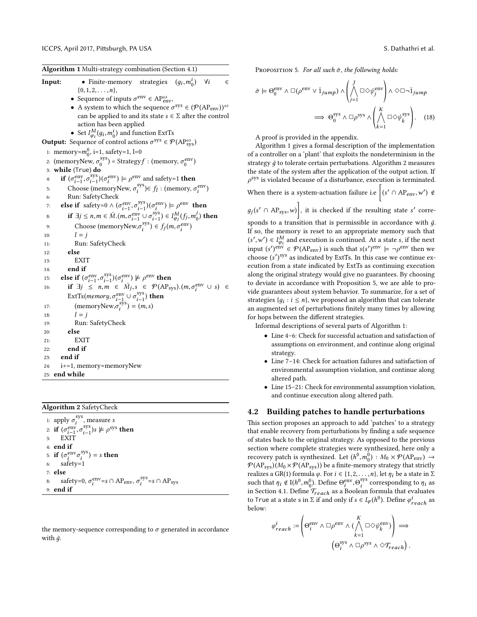<span id="page-5-1"></span>

| • Finite-memory strategies $(g_i, m_0^i)$ $\forall i$<br>Input:<br>€                                                                                 |
|------------------------------------------------------------------------------------------------------------------------------------------------------|
| $\{0, 1, 2, \ldots, n\},\$                                                                                                                           |
| • Sequence of inputs $\sigma^{\text{env}} \in AP_{env}^{\omega}$ ,                                                                                   |
| • A system to which the sequence $\sigma^{sys} \in (\mathcal{P}(AP_{env}))^{\omega}$                                                                 |
| can be applied to and its state $s\in\Sigma$ after the control                                                                                       |
| action has been applied                                                                                                                              |
| • Set $I_{\varphi_i}^M(g_i, m_0^i)$ and function ExtTs                                                                                               |
| <b>Output:</b> Sequence of control actions $\sigma^{sys} \in \mathcal{P}(AP_{sys}^{\omega})$                                                         |
| 1: memory= $m_0^0$ , i=1, safety=1, l=0                                                                                                              |
| 2: (memoryNew, $\sigma_0^{sys}$ ) = Strategy $f$ : (memory, $\sigma_0^{env}$ )                                                                       |
| 3: <b>while</b> (True) <b>do</b>                                                                                                                     |
| <b>if</b> $(\sigma_{i-1}^{\text{env}}, \sigma_{i-1}^{\text{sys}})(\sigma_i^{\text{env}}) \models \rho^{\text{env}}$ and safety=1 <b>then</b><br>4:   |
| Choose (memoryNew, $\sigma_i^{sys}$ ) $\in f_l$ : (memory, $\sigma_i^{env}$ )<br>5:                                                                  |
| Run: SafetyCheck<br>6:                                                                                                                               |
| <b>else if</b> safety=0 $\land$ $(\sigma_{i-1}^{\text{env}}, \sigma_{i-1}^{\text{sys}})(\sigma_i^{\text{env}}) \models \rho^{\text{env}}$ then<br>7: |
| if $\exists j\leq n,m\in \bar M.(m,\sigma_{i-1}^{\text{env}}\cup\sigma_{i-1}^{\text{sys}})\in I^M_{\varphi_i}(f_j,m_0^j)$ then<br>8:                 |
| Choose (memoryNew, $\sigma_i^{sys}$ ) $\in f_j(m, \sigma_i^{env})$<br>9:                                                                             |
| $l = j$<br>10:                                                                                                                                       |
| Run: SafetyCheck<br>11:                                                                                                                              |
| else<br>12:                                                                                                                                          |
| EXIT<br>13:                                                                                                                                          |
| end if<br>14:                                                                                                                                        |
| else if $(\sigma_{i-1}^{\text{env}}, \sigma_{i-1}^{\text{sys}})(\sigma_i^{\text{env}}) \not\models \rho^{\text{env}}$ then<br>15:                    |
| if $\exists j \leq n, m \in \overline{M}_j$ , $s \in \mathcal{P}(AP_{sys})$ . $(m, \sigma_i^{env} \cup s) \in$<br>16:                                |
| ExtTs( <i>memory</i> , $\sigma_{i-1}^{\text{env}} \cup \sigma_{i-1}^{\text{sys}}$ ) then                                                             |
| (memoryNew, $\sigma_i^{\rm sys}$ ) = ( <i>m</i> , <i>s</i> )<br>17:                                                                                  |
| $l = j$<br>18:                                                                                                                                       |
| Run: SafetyCheck<br>19:                                                                                                                              |
| else<br>20:                                                                                                                                          |
| EXIT<br>21:                                                                                                                                          |
| end if<br>22:                                                                                                                                        |
| end if<br>23:                                                                                                                                        |
| i+=1, memory=memoryNew<br>24:                                                                                                                        |
| end while<br>25:                                                                                                                                     |

<span id="page-5-2"></span>Algorithm 2 SafetyCheck

1: apply  $\sigma_i^{\text{sys}}$  $\int_{i}^{sys}$ , measure s 2: **if**  $(\sigma_{i-1}^{\text{env}}, \sigma_{i-1}^{\text{sys}})$  $\lambda_{i-1}^{\text{sys}}$ )s ⊭  $\rho^{\text{sys}}$  then 3: EXIT 4: end if 5: if  $(\sigma_i^{\text{env}})$  $\lim_{i} \sigma_i^{\text{sys}}$  $i_j^{sys}$ ) = s then 6: safety=1 7: else 8: safety=0,  $\sigma_i^{\text{env}}$  $\epsilon_i^{\text{env}} = s \cap AP_{\text{env}}, \sigma_i^{\text{sys}}$  $i$ <sup>sys</sup>=s ∩ AP<sub>sys</sub> 9: end if

the memory-sequence corresponding to  $\sigma$  generated in accordance with  $\bar{q}$ .

<span id="page-5-0"></span>PROPOSITION 5. For all such  $\bar{\sigma}$ , the following holds:

$$
\bar{\sigma} \models \Theta_0^{\text{env}} \land \Box(\rho^{\text{env}} \lor \bar{1}_{jump}) \land \left(\bigwedge_{j=1}^J \Box \Diamond \psi_j^{\text{env}}\right) \land \Diamond \Box \neg \bar{1}_{jump}
$$

$$
\implies \Theta_0^{\text{sys}} \land \Box \rho^{\text{sys}} \land \left(\bigwedge_{k=1}^K \Box \Diamond \psi_k^{\text{sys}}\right). \quad (18)
$$

A proof is provided in the appendix.

Algorithm [1](#page-5-1) gives a formal description of the implementation of a controller on a 'plant' that exploits the nondeterminism in the strategy  $\bar{g}$  to tolerate certain perturbations. Algorithm [2](#page-5-2) measures the state of the system after the application of the output action. If  $\rho^{sys}$  is violated because of a disturbance, execution is terminated.  $\rho^{sys}$  is violated because of a disturbance, execution is terminated<br>When there is a system-actuation failure i.e  $\left[ (s' \cap AP_{env}, w') \notin \mathbb{R} \right]$ 

 $g_j(s' \cap AP_{sys}, w)$ , it is checked if the resulting state s' corre-

sponds to a transition that is permissible in accordance with  $\bar{g}$ . If so, the memory is reset to an appropriate memory such that  $(s', w') \in I_{\varphi_i}^M$  and execution is continued. At a state s, if the next<br>input  $(s')^{e_0} \in \mathcal{D}(\Delta \mathbb{P})$  is such that  $s(s')^{e_0} = -s^{e_0}$  then we input  $(s')^{env} \in \mathcal{P}(AP_{env})$  is such that  $s(s')^{env} \models \neg \rho^{env}$  then we choose  $(s')^{sys}$  as indicated by ExtTs. In this case we continue execution from a state indicated by ExtTs as continuing execution along the original strategy would give no guarantees. By choosing to deviate in accordance with Proposition [5,](#page-5-0) we are able to provide guarantees about system behavior. To summarize, for a set of strategies  $\{g_i : i \leq n\}$ , we proposed an algorithm that can tolerate an augmented set of perturbations finitely many times by allowing for hops between the different strategies.

Informal descriptions of several parts of Algorithm [1:](#page-5-1)

- Line 4–6: Check for successful actuation and satisfaction of assumptions on environment, and continue along original strategy.
- Line 7–14: Check for actuation failures and satisfaction of environmental assumption violation, and continue along altered path.
- Line 15–21: Check for environmental assumption violation, and continue execution along altered path.

### <span id="page-5-3"></span>4.2 Building patches to handle perturbations

This section proposes an approach to add 'patches' to a strategy that enable recovery from perturbations by finding a safe sequence of states back to the original strategy. As opposed to the previous section where complete strategies were synthesized, here only a recovery patch is synthesized. Let  $(h^0, m_0^0)$ :  $M_0 \times \mathcal{P} (AP_{env}) \rightarrow$ <br> $\mathcal{P} (AP_{env}) (M_0 \times \mathcal{P} (AP_{env}))$  be a finite-memory strategy that strictly  $P(\text{AP}_{\text{sys}})(M_0 \times P(\text{AP}_{\text{sys}}))$  be a finite-memory strategy that strictly realizes a GR(1) formula *φ*. For *i* ∈ {1,2,...,*n*}, let *η<sub>i</sub>* be a state in Σ such that  $\eta_i \notin I(h^0, m_0^0)$ . Define  $\Theta_i^{\text{env}}$ i ,Θ sys <sup>sys</sup> corresponding to  $\eta_i$  as in Section [4.1.](#page-4-3) Define  $\mathcal{T}_{reach}$  as a Boolean formula that evaluates to True at a state s in  $\Sigma$  if and only if  $s \in I_{\varphi}(h^0)$ . Define  $\varphi_{reach}^i$  as below:

$$
\varphi_{reach}^{i} := \left(\Theta_i^{\text{env}} \land \Box \rho^{\text{env}} \land (\bigwedge_{k=1}^{K} \Box \Diamond \psi_k^{\text{env}})\right) \Longrightarrow
$$

$$
\left(\Theta_i^{\text{sys}} \land \Box \rho^{\text{sys}} \land \Diamond \mathcal{T}_{reach}\right).
$$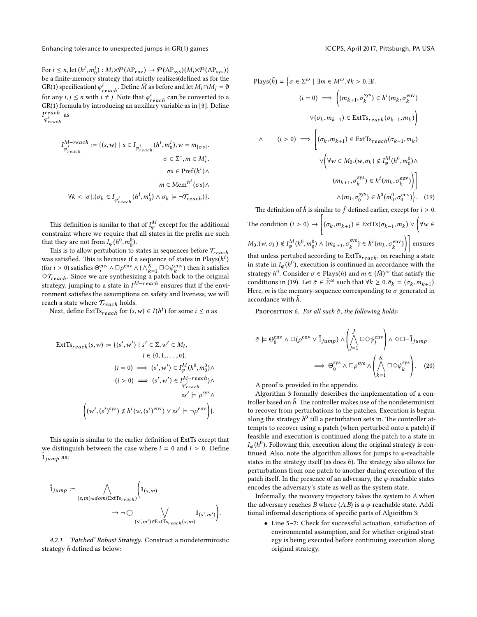For  $i \le n$ , let  $(h^i, m_0^i) : M_i \times \mathcal{P}(\text{AP}_{\text{env}}) \to \mathcal{P}(\text{AP}_{\text{sys}})(M_i \times \mathcal{P}(\text{AP}_{\text{sys}}))$ be a finite-memory strategy that strictly realizes(defined as for the GR(1) specification)  $\varphi_{reach}^i$ . Define M as before and let  $M_i \cap M_j = \emptyset$ for any  $i, j \le n$  with  $i \ne j$ . Note that  $\varphi_{reach}^i$  can be converted to a GP(1) formula by introducing an auxillary variable as in [3]. Define  $GR(1)$  formula by introducing an auxillary variable as in [\[3\]](#page-8-2). Define  $I_{i}^{reach}$  as  $\varphi_{reach}^i$ 

$$
\begin{aligned} I_{\varphi_{reach}^{i}}^{M-reach} &:= \{ (s, \bar{w}) \mid s \in I_{\varphi_{reach}^{i}}(h^{i}, m_{0}^{i}), \bar{w} = m_{|\sigma s|}. \\ &\sigma \in \Sigma^{*}, m \in M_{i}^{*}. \\ &\sigma \in \text{Pref}(h^{i}) \wedge \\ &m \in \text{Mem}^{h^{i}}(\sigma s) \wedge \\ \forall k < |\sigma|. (\sigma_{k} \in I_{\varphi_{reach}^{i}}(h^{i}, m_{0}^{i}) \wedge \sigma_{k} \models \neg \mathcal{T}_{reach}) \} . \end{aligned}
$$

This definition is similar to that of  $I_\varphi^M$  except for the additional constraint where we require that all states in the prefix are such that they are not from  $I_{\varphi}(h^0, m_0^0)$ .<br>This is to allow pertubation to a

This is to allow pertubation to states in sequences before  $\mathcal{T}_{reach}$ was satisfied. This is because if a sequence of states in  $Plays(h^i)$ (for  $i > 0$ ) satisfies  $\Theta_i^{\text{env}}$ <br>  $\hat{\Theta}_i^{\text{env}}$  since we are  $e^{\text{env}} \wedge \Box \rho^{\text{env}} \wedge (\wedge_{k=1}^k \Box \Diamond \psi_k^{\text{env}})$  $\binom{env}{k}$  then it satisfies  $\Diamond \mathcal{T}_{reach}$ . Since we are synthesizing a patch back to the original strategy, jumping to a state in  $I^{M-reach}$  ensures that if the environment satisfies the assumptions on safety and liveness, we will reach a state where  $\mathcal{T}_{reach}$  holds.

Next, define  $\text{ExtTs}_{reach}$  for  $(s, w) \in I(h^i)$  for some  $i \leq n$  as

$$
\begin{aligned} \text{ExtTs}_{reach}(s, w) &:= \{ (s', w') \mid s' \in \Sigma, w' \in M_i, \\ & i \in \{0, 1, \dots, n\}. \\ & (i = 0) \implies (s', w') \in I_{\phi}^M(h^0, m_0^0) \land \\ & (i > 0) \implies (s', w') \in I_{\phi_{reach}^i}^{M-reach}) \land \\ & ss' \models \rho^{sys} \land \\ & \left( (w', (s')^{sys}) \notin h^i(w, (s')^{env}) \lor ss' \models \neg \rho^{env} \right) \}. \end{aligned}
$$

This again is similar to the earlier definition of ExtTs except that we distinguish between the case where  $i = 0$  and  $i > 0$ . Define  $\frac{1}{3}$ jump as:

$$
\overline{1}_{jump} := \bigwedge_{(s,m)\in dom(\text{ExtTs}_{reach})} \left(1_{(s,m)}\right)
$$
\n
$$
\rightarrow \neg \bigcirc \bigvee_{(s',m')\in \text{ExtTs}_{reach}(s,m)} 1_{(s',m')} \bigg).
$$

4.2.1 'Patched' Robust Strategy. Construct a nondeterministic strategy  $\bar{h}$  defined as below:

$$
\text{Plays}(\bar{h}) = \left\{ \sigma \in \Sigma^{\omega} \mid \exists m \in \bar{M}^{\omega}. \forall k > 0. \exists i. \right. \\
(i = 0) \implies \left( (m_{k+1}, \sigma_k^{\text{sys}}) \in h^i(m_k, \sigma_k^{\text{env}}) \right. \\
\lor (\sigma_k, m_{k+1}) \in \text{ExtTs}_{reach}(\sigma_{k-1}, m_k) \right\} \\
\land \quad (i > 0) \implies \left[ (\sigma_k, m_{k+1}) \in \text{ExtTs}_{reach}(\sigma_{k-1}, m_k) \right. \\
\lor \left( \forall w \in M_0. (w, \sigma_k) \notin I_{\varphi}^M(h^0, m_0^0) \land \left. (m_{k+1}, \sigma_k^{\text{sys}}) \in h^i(m_k, \sigma_k^{\text{env}}) \right) \right] \\
\land (m_1, \sigma_0^{\text{sys}}) \in h^0(m_0^0, \sigma_0^{\text{env}}) \right\}.
$$
\n(19)

 $\overline{a}$ 

<span id="page-6-1"></span>The definition of  $\bar{h}$  is similar to  $\bar{f}$  defined earlier, except for  $i > 0$ . The condition  $(i > 0) \rightarrow$  $\left[ (\sigma_k, m_{k+1}) \in \text{ExtTs}(\sigma_{k-1}, m_k) \vee \bigvee \forall w \in$  $M_0.(w, \sigma_k) \notin I_{\varphi}^M(h^0, m_0^0) \wedge (m_{k+1}, \sigma_k^{\text{sys}})$  $\binom{sys}{k}$   $\in h^i(m_k, \sigma_k^{\text{env}})$  $\binom{1}{k}$  ensures that unless pertubed according to  $ExtTs_{reach}$ , on reaching a state in state in  $I_{\varphi}(h^0)$ , execution is continued in accordance with the strategy  $h^0$ . Consider  $\sigma \in \text{Plays}(\bar{h})$  and  $m \in (\bar{M})^{\omega}$  that satisfy the conditions in [\(19\)](#page-6-1). Let  $\bar{\sigma} \in \bar{\Sigma}^{\omega}$  such that  $\forall k \ge 0$ .  $\bar{\sigma}_k = (\sigma_k, m_{k+1})$ .<br>Here m is the memory-sequence corresponding to  $\sigma$  generated in Here, m is the memory-sequence corresponding to  $\sigma$  generated in accordance with  $\bar{h}$ .

<span id="page-6-0"></span>PROPOSITION 6. For all such  $\bar{\sigma}$ , the following holds:

$$
\bar{\sigma} \models \Theta_0^{\text{env}} \land \Box(\rho^{\text{env}} \lor \bar{1}_{jump}) \land \left(\bigwedge_{j=1}^J \Box \Diamond \psi_j^{\text{env}}\right) \land \Diamond \Box \neg \bar{1}_{jump}
$$

$$
\implies \Theta_0^{\text{sys}} \land \Box \rho^{\text{sys}} \land \left(\bigwedge_{k=1}^K \Box \Diamond \psi_k^{\text{sys}}\right). \quad (20)
$$

A proof is provided in the appendix.

Algorithm [3](#page-7-0) formally describes the implementation of a controller based on  $\bar{h}$ . The controller makes use of the nondeterminism to recover from perturbations to the patches. Execution is begun along the strategy  $h^0$  till a perturbation sets in. The controller attempts to recover using a patch (when perturbed onto a patch) if feasible and execution is continued along the patch to a state in  $I_{\varphi}(h^0)$ . Following this, execution along the original strategy is continued. Also, note the algorithm allows for jumps to  $\varphi$ -reachable states in the strategy itself (as does  $h$ ). The strategy also allows for perturbations from one patch to another during execution of the patch itself. In the presence of an adversary, the  $\varphi$ -reachable states encodes the adversary's state as well as the system state.

Informally, the recovery trajectory takes the system to A when the adversary reaches B where  $(A,B)$  is a  $\varphi$ -reachable state. Addi-tional informal descriptions of specific parts of Algorithm [3:](#page-7-0)

• Line 5–7: Check for successful actuation, satisfaction of environmental assumption, and for whether original strategy is being executed before continuing execution along original strategy.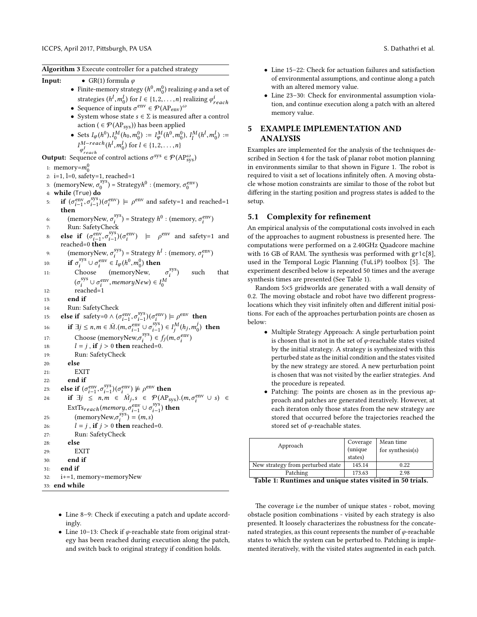<span id="page-7-0"></span>Algorithm 3 Execute controller for a patched strategy

**Input:** • GR(1) formula  $\varphi$ 

- Finite-memory strategy  $(h^0, m_0^0)$  realizing  $\varphi$  and a set of strategies  $(h^l, m_0^l)$  for  $l \in \{1, 2, ..., n\}$  realizing  $\varphi_{reach}^i$ <br>Sequence of inputs  $\pi^{env} \in \mathcal{D}(AB)$
- Sequence of inputs  $\sigma^{\text{env}} \in \mathcal{P}(\text{AP}_{\text{env}})^\omega$
- System whose state  $s \in \Sigma$  is measured after a control action (  $\in \mathcal{P}(AP_{\text{sys}})$ ) has been applied
- Sets  $I_{\varphi}(h^0), I_0^M(h_0, m_0^0) := I_{\varphi}^M(h^0, m_0^0), I_1^M(h^l, m_0^l) :=$ <br>  $I_{\varphi}(h^l, h^l, h^l, h^l, h^l, h^l, h^l, h^l, h^l)$  $I_{\varphi_{reach}^l}^{M-reach}(h^l, m_0^l)$  for  $l \in \{1, 2, ..., n\}$  $\varphi_{reach}^l$

**Output:** Sequence of control actions  $\sigma^{sys} \in \mathcal{P}(AP_{sys}^{\omega})$ 

- 1: memory= $m_0^0$
- 2: i=1, l=0, safety=1, reached=1
- 3: (memoryNew,  $\sigma_0^{\text{sys}}$  $\binom{sys}{0}$  = Strategy $h^0$  : (memory,  $\sigma_0^{\text{env}}$ )
- 4: while (True) do
- 5: if  $(\sigma_{i-1}^{\text{env}}, \sigma_{i-1}^{\text{sys}})$  $\binom{sys}{i-1}$  $(\sigma_i^{\text{env}})$  $i_i^{\text{env}}$  =  $\rho^{\text{env}}$  and safety=1 and reached=1 then sys

6: (memoryNew, 
$$
\sigma_i^{sys}
$$
) = Strategy  $h^0$  : (memory,  $\sigma_i^{env}$ )

- <sup>6:</sup> (including two control)<br>7: Run: SafetyCheck
- 8: else if  $(\sigma_{i-1}^{\text{env}}, \sigma_{i-1}^{\text{sys}})$  $\binom{sys}{i-1}$  $(\sigma_i^{\text{env}})$  $\binom{env}{i}$   $\models$   $\rho^{env}$  and safety=1 and reached=0 then sys

9: 
$$
(\text{memoryNew}, \sigma_i^{\text{sys}}) = \text{Strategy } h^l : (\text{memory}, \sigma_i^{\text{env}})
$$

10: **if**  $\sigma_i^{\text{sys}} \cup \sigma_i^{\text{env}} \in$  $\sigma_i^{\text{sys}} \cup \sigma_i^{\text{env}}$  $\sum_{i=1}^{\infty} I_{\varphi}(h^0, m_0^0)$  then

11: Choose (memoryNew, 
$$
\sigma_i^{sys}
$$
) such that  
\n $(\sigma_i^{sys} \cup \sigma_i^{env}, \text{memoryNew}) \in I_0^M$ 

- $\begin{array}{cc} \n\vee_i & \vee \vee_i \\
\vee_i & \vee \vee_i \\
\mathsf{reached=1}\n\end{array}$
- 13: end if
- 14: Run: SafetyCheck

15. else if safety=0 
$$
\wedge (\sigma_{i-1}^{env}, \sigma_{i-1}^{sys}) (\sigma_i^{env}) = \rho^{env}
$$
 then

16: if 
$$
\exists j \le n, m \in \overline{M}. (m, \sigma_{i-1}^{\text{env}} \cup \sigma_{j-1}^{\text{sys}}) \in I_j^M(h_j, m_0^j)
$$
 then

17: Choose (memoryNew, 
$$
\sigma_i^{sys}
$$
)  $\in f_j(m, \sigma_i^{env})$   
19.  $l = i$  if  $i > 0$  then reached=0

18: Choose (inchibity  $l = j$ , if  $j > 0$  then reached=0.<br>
10: Pup: SofetyCheck

```
19: Run: SafetyCheck
```
- 20: else
- 21: EXIT
- 22: end if

```
23: else if (\sigma_{i-1}^{\text{env}}, \sigma_{i-1}^{\text{sys}})\binom{sys}{i-1}(\sigma_i^{\text{env}})\binom{env}{i} \not\models \rho^{\text{env}} then
```
24: **if** 
$$
\exists j \leq n, m \in M_j, s \in \mathcal{P}(AP_{sys})
$$
. $(m, \sigma_i^{env} \cup s) \in$   
ExtTs<sub>reach</sub> $(memory, \sigma_{i-1}^{env} \cup \sigma_{i-1}^{sys})$  then  
25:  $(memoryNew, \sigma_j^{sys}) = (m, s)$   
26:  $l = i$  if  $i > 0$  then reached=0

26: 
$$
l = j
$$
, **if**  $j > 0$  **then** reached=0.  
27: Run: SafetyCheck

- 28: else
- 29: EXIT
- 30: end if
- 31: end if

```
32: i+=1, memory=memoryNew
```

```
33: end while
```
- Line 15–22: Check for actuation failures and satisfaction of environmental assumptions, and continue along a patch with an altered memory value.
- Line 23-30: Check for environmental assumption violation, and continue execution along a patch with an altered memory value.

### 5 EXAMPLE IMPLEMENTATION AND ANALYSIS

Examples are implemented for the analysis of the techniques described in Section [4](#page-3-5) for the task of planar robot motion planning in environments similar to that shown in Figure [1.](#page-3-3) The robot is required to visit a set of locations infinitely often. A moving obstacle whose motion constraints are similar to those of the robot but differing in the starting position and progress states is added to the setup.

### 5.1 Complexity for refinement

An empirical analysis of the computational costs involved in each of the approaches to augment robustness is presented here. The computations were performed on a 2.40GHz Quadcore machine with 16 GB of RAM. The synthesis was performed with gr1c[\[8\]](#page-8-15), used in the Temporal Logic Planning (TuLiP) toolbox [\[5\]](#page-8-16). The experiment described below is repeated 50 times and the average synthesis times are presented (See Table [1\)](#page-7-1).

Random 5×5 gridworlds are generated with a wall density of 0.2. The moving obstacle and robot have two different progresslocations which they visit infinitely often and different initial positions. For each of the approaches perturbation points are chosen as below:

- Multiple Strategy Approach: A single perturbation point is chosen that is not in the set of  $\varphi$ -reachable states visited by the initial strategy. A strategy is synthesized with this perturbed state as the initial condition and the states visited by the new strategy are stored. A new perturbation point is chosen that was not visited by the earlier strategies. And the procedure is repeated.
- Patching: The points are chosen as in the previous approach and patches are generated iteratively. However, at each iteraton only those states from the new strategy are stored that occurred before the trajectories reached the stored set of φ-reachable states.

<span id="page-7-1"></span>

| Approach                          | Coverage<br>(unique<br>states) | Mean time<br>for synthesis(s) |
|-----------------------------------|--------------------------------|-------------------------------|
| New strategy from perturbed state | 145.14                         | 0.22                          |
| Patching                          | 173.63                         | 2.98                          |
| $\sim$<br>-                       |                                | ---                           |

Table 1: Runtimes and unique states visited in 50 trials.

- Line 8–9: Check if executing a patch and update accordingly.
- Line 10-13: Check if  $\varphi$ -reachable state from original strategy has been reached during execution along the patch, and switch back to original strategy if condition holds.

The coverage i.e the number of unique states - robot, moving obstacle position combinations - visited by each strategy is also presented. It loosely characterizes the robustness for the concatenated strategies, as this count represents the number of  $\varphi$ -reachable states to which the system can be perturbed to. Patching is implemented iteratively, with the visited states augmented in each patch.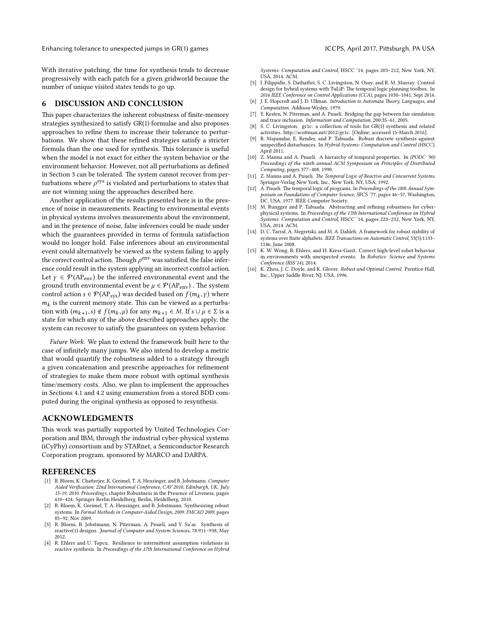With iterative patching, the time for synthesis tends to decrease progressively with each patch for a given gridworld because the number of unique visited states tends to go up.

### <span id="page-8-13"></span>6 DISCUSSION AND CONCLUSION

This paper characterizes the inherent robustness of finite-memory strategies synthesized to satisfy GR(1) formulae and also proposes approaches to refine them to increase their tolerance to perturbations. We show that these refined strategies satisfy a stricter formula than the one used for synthesis. This tolerance is useful when the model is not exact for either the system behavior or the environment behavior. However, not all perturbations as defined in Section [3](#page-2-0) can be tolerated. The system cannot recover from perturbations where  $\rho^{sys}$  is violated and perturbations to states that are not winning using the approaches described here.

Another application of the results presented here is in the presence of noise in measurements. Reacting to environmental events in physical systems involves measurements about the environment, and in the presence of noise, false inferences could be made under which the guarantees provided in terms of formula satisfaction would no longer hold. False inferences about an environmental event could alternatively be viewed as the system failing to apply the correct control action. Though  $\rho^{\text{env}}$  was satisfied, the false inference could result in the system applying an incorrect control action. Let  $\gamma \in \mathcal{P}(AP_{env})$  be the inferred environmental event and the ground truth environmental event be  $\mu \in \mathcal{P}(AP_{env})$ . The system control action  $s \in \mathcal{P}(AP_{sys})$  was decided based on  $f(m_k, \gamma)$  where  $m_k$  is the current memory state. This can be viewed as a perturbation with  $(m_{k+1}, s) \notin f(m_k, \mu)$  for any  $m_{k+1} \in M$ . If  $s \cup \mu \in \Sigma$  is a set the for which any of the above described approaches apply the state for which any of the above described approaches apply, the system can recover to satisfy the guarantees on system behavior.

Future Work. We plan to extend the framework built here to the case of infinitely many jumps. We also intend to develop a metric that would quantify the robustness added to a strategy through a given concatenation and prescribe approaches for refinement of strategies to make them more robust with optimal synthesis time/memory costs. Also, we plan to implement the approaches in Sections [4.1](#page-4-3) and [4.2](#page-5-3) using enumeration from a stored BDD computed during the original synthesis as opposed to resynthesis.

### ACKNOWLEDGMENTS

This work was partially supported by United Technologies Corporation and IBM, through the industrial cyber-physical systems (iCyPhy) consortium and by STARnet, a Semiconductor Research Corporation program, sponsored by MARCO and DARPA.

### REFERENCES

- <span id="page-8-9"></span>[1] R. Bloem, K. Chatterjee, K. Greimel, T. A. Henzinger, and B. Jobstmann. Computer Aided Verification: 22nd International Conference, CAV 2010, Edinburgh, UK, July 15-19, 2010. Proceedings, chapter Robustness in the Presence of Liveness, pages 410–424. Springer Berlin Heidelberg, Berlin, Heidelberg, 2010.
- <span id="page-8-8"></span>[2] R. Bloem, K. Greimel, T. A. Henzinger, and B. Jobstmann. Synthesizing robust systems. In Formal Methods in Computer-Aided Design, 2009. FMCAD 2009, pages 85–92, Nov 2009.
- <span id="page-8-2"></span>[3] R. Bloem, B. Jobstmann, N. Piterman, A. Pnueli, and Y. Sa'ar. Synthesis of reactive(1) designs. Journal of Computer and System Sciences, 78:911–938, May 2012.
- <span id="page-8-11"></span>[4] R. Ehlers and U. Topcu. Resilience to intermittent assumption violations in reactive synthesis. In Proceedings of the 17th International Conference on Hybrid

Systems: Computation and Control, HSCC '14, pages 203–212, New York, NY, USA, 2014. ACM.

- <span id="page-8-16"></span>[5] I. Filippidis, S. Dathathri, S. C. Livingston, N. Ozay, and R. M. Murray. Control design for hybrid systems with TuLiP: The temporal logic planning toolbox. In 2016 IEEE Conference on Control Applications (CCA), pages 1030–1041, Sept 2016.
- <span id="page-8-14"></span>[6] J. E. Hopcroft and J. D. Ullman. Introduction to Automata Theory, Languages, and Computation. Addison-Wesley, 1979.
- <span id="page-8-3"></span>[7] Y. Kesten, N. Piterman, and A. Pnueli. Bridging the gap between fair simulation and trace inclusion. Information and Computation, 200:35–61, 2005.
- <span id="page-8-15"></span>[8] S. C. Livingston. gr1c: a collection of tools for GR(1) synthesis and related activities. http://scottman.net/2012/gr1c. [Online; accessed 15-March 2016].
- <span id="page-8-5"></span>R. Majumdar, E. Render, and P. Tabuada. Robust discrete synthesis against unspecified disturbances. In Hybrid Systems: Computation and Control (HSCC), April 2011.
- <span id="page-8-4"></span>[10] Z. Manna and A. Pnueli. A hierarchy of temporal properties. In (PODC '90) Proceedings of the ninth annual ACM Symposium on Principles of Distributed Computing, pages 377–408, 1990.
- <span id="page-8-0"></span>[11] Z. Manna and A. Pnueli. The Temporal Logic of Reactive and Concurrent Systems. Springer-Verlag New York, Inc., New York, NY, USA, 1992.
- <span id="page-8-1"></span>[12] A. Pnueli. The temporal logic of programs. In Proceedings of the 18th Annual Symposium on Foundations of Computer Science, SFCS '77, pages 46–57, Washington, DC, USA, 1977. IEEE Computer Society.
- <span id="page-8-6"></span>[13] M. Rungger and P. Tabuada. Abstracting and refining robustness for cyberphysical systems. In Proceedings of the 17th International Conference on Hybrid Systems: Computation and Control, HSCC '14, pages 223–232, New York, NY, USA, 2014. ACM.
- <span id="page-8-10"></span>[14] D. C. Tarraf, A. Megretski, and M. A. Dahleh. A framework for robust stability of systems over finite alphabets. IEEE Transactions on Automatic Control, 53(5):1133-1146, June 2008.
- <span id="page-8-12"></span>[15] K. W. Wong, R. Ehlers, and H. Kress-Gazit. Correct high-level robot behavior in environments with unexpected events. In Robotics: Science and Systems Conference (RSS'14), 2014.
- <span id="page-8-7"></span>K. Zhou, J. C. Doyle, and K. Glover. Robust and Optimal Control. Prentice-Hall, Inc., Upper Saddle River, NJ, USA, 1996.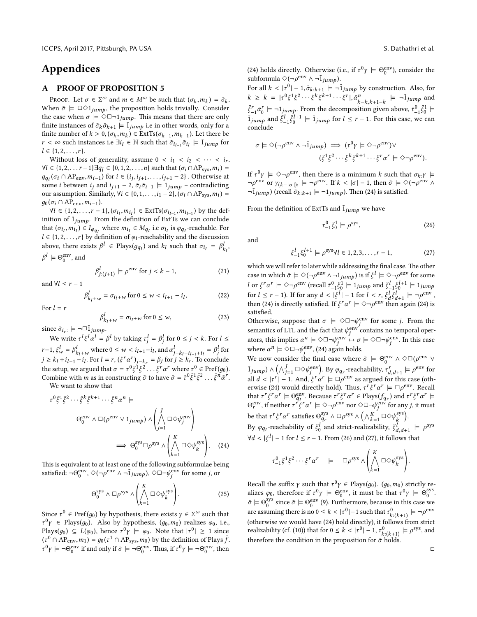## Appendices

### A PROOF OF PROPOSITION 5

PROOF. Let  $\sigma \in \Sigma^{\omega}$  and  $m \in M^{\omega}$  be such that  $(\sigma_k, m_k) = \bar{\sigma}_k$ .<br>
nan  $\bar{\sigma} \models \Box \odot \bar{\mathbf{i}}$ , the proposition bolds trivially Consider When  $\bar{\sigma} \models \Box \Diamond \bar{1}_{jump}$ , the proposition holds trivially. Consider the case when  $\bar{\sigma} \models \Diamond \Box \neg 1_{jump}$ . This means that there are only finite instances of  $\bar{\sigma}_k \bar{\sigma}_{k+1} \models \bar{1}_{jump}$  i.e in other words, only for a finite number of  $k > 0$ ,  $(\sigma_k, m_k) \in \text{ExtTs}(\sigma_{k-1}, m_{k-1})$ . Let there be  $r < \infty$  such instances i.e  $\exists i_l \in \mathbb{N}$  such that  $\bar{\sigma}_{i_{l-1}} \bar{\sigma}_{i_l} \models \bar{1}_{jump}$  for  $l \in \{1, 2, \ldots, r\}.$ 

Without loss of generality, assume  $0 < i_1 < i_2 < \cdots < i_r$ .  $\forall l \in \{1, 2, \ldots r-1\} \exists q_l \in \{0, 1, 2, \ldots, n\}$  such that  $(\sigma_i \cap AP_{sys}, m_i) =$ <br>  $a_n(\sigma_i \cap AP_{sys}, m_{i+1})$  for  $i \in \{i, j, j, \ldots, j, j, n-2\}$ . Otherwise at  $g_{q_l}(\sigma_i \cap AP_{env}, m_{i-1})$  for  $i \in \{i_j, i_{j+1}, \ldots, i_{j+1} - 2\}$ . Otherwise at some *i* between *i*: and *i*:  $i = 2$ ,  $\bar{\sigma}$ ;  $\bar{\sigma}$ ;  $i = 1$ ,  $i = 2$  contradicting some *i* between  $i_j$  and  $i_{j+1} - 2$ ,  $\bar{\sigma}_i \bar{\sigma}_{i+1} \models \bar{1}_{jump}$  – contradicting our assumption. Similarly,  $\forall i \in \{0, 1, ..., i_1 - 2\}, (\sigma_i \cap AP_{sys}, m_i) =$  $g_0(\sigma_i \cap AP_{env}, m_{i-1}).$ 

 $\forall l \in \{1, 2, ..., r-1\}, (\sigma_{i_l}, m_{i_l}) \in \text{ExtTs}(\sigma_{i_{l-1}}, m_{i_{l-1}})$  by the def-<br>tion of  $\overline{1}$ , From the definition of ExtTs we can conclude inition of  $\overline{1}_{jump}$ . From the definition of ExtTs we can conclude that  $(\sigma_{i_l}, m_{i_l}) \in I_{\varphi_{q_l}}$  where  $m_{i_l} \in M_{q_l}$  i.e  $\sigma_{i_l}$  is  $\varphi_{q_l}$ -reachable. For  $l \in \{1,2,\ldots,r\}$  by definition of  $\varphi_i$  -reachability and the discussion above, there exists  $\beta^l \in \text{Plays}(g_{q_l})$  and  $k_l$  such that  $\sigma_{i_l} = \beta^l_{k_l}$ ,  $\beta^l \models \Theta_0^{\text{env}}$ , and

<span id="page-9-3"></span>
$$
\beta_{j:(j+1)}^l \models \rho^{\text{env}} \text{ for } j < k-1,\tag{21}
$$

and  $\forall l \leq r - 1$ 

<span id="page-9-4"></span>
$$
\beta_{k_l+w}^l = \sigma_{i_l+w} \text{ for } 0 \le w < i_{l+1} - i_l,\tag{22}
$$

For  $l = r$ 

<span id="page-9-5"></span>
$$
\beta_{k_l+w}^l = \sigma_{l_l+w} \text{ for } 0 \le w,
$$
\n(23)

since  $\bar{\sigma}_{i_r}$ :  $\models \neg \Box \bar{1}_{jump}$ .

We write  $\tau^l \xi^l \alpha^l = \beta^l$  by taking  $\tau^l_j = \beta^l_j$  for  $0 \le j < k$ . For  $l \le j$  $r-1, \xi_w^l = \beta_{k_l+w}^l$  where  $0 \le w \le i_{l+1}-i_l$ , and  $\alpha_{j-k_l-i_{l+1}+i_l}^l = \beta_j^l$  for  $j \ge k_l + i_{l+1} - i_l$ . For  $l = r$ ,  $(\xi^r \alpha^r)_{j-k_r} = \beta_j$  for  $j \ge k_r$ . To conclude the setup, we argued that  $\sigma = \tau^0 \xi^1 \xi^2 \dots \xi^r \alpha^r$  where  $\tau^0 \in \text{Pref}(g_0)$ .<br>Combine with m as in constructing  $\bar{\sigma}$  to have  $\bar{\sigma} = \bar{\tau}^0 \bar{\epsilon}^1 \bar{\epsilon}^2 \qquad \bar{\epsilon}^n \bar{\sigma}^r$ . Combine with *m* as in constructing  $\bar{\sigma}$  to have  $\bar{\sigma} = \bar{\tau}^0 \bar{\xi}^1 \bar{\xi}^2$  $\overline{\xi}^n \overline{\alpha}^r$ . We want to show that

$$
\bar{\tau}^{0} \bar{\xi}^{1} \bar{\xi}^{2} \cdots \bar{\xi}^{k} \bar{\xi}^{k+1} \cdots \bar{\xi}^{n} \bar{\alpha}^{n} \models
$$
\n
$$
\Theta_{0}^{\text{env}} \wedge \Box (\rho^{\text{env}} \vee \bar{1}_{j \text{ump}}) \wedge \left( \bigwedge_{j=1}^{J} \Box \Diamond \psi_{j}^{\text{env}} \right)
$$
\n
$$
\implies \Theta_{0}^{\text{sys}} \Box \rho^{\text{sys}} \wedge \left( \bigwedge_{k=1}^{K} \Box \Diamond \psi_{k}^{\text{sys}} \right). \quad (24)
$$

This is equivalent to at least one of the following subformulae being satisfied:  $\neg \Theta_0^{\text{env}}, \Diamond (\neg \rho^{\text{env}} \land \neg \overline{1}_{jump}), \Diamond \Box \neg \psi_i^{\text{env}}$  $\frac{e^{i}}{j}$  for some *j*, or

$$
\Theta_0^{\text{sys}} \wedge \Box \rho^{\text{sys}} \wedge \left( \bigwedge_{k=1}^K \Box \Diamond \psi_k^{\text{sys}} \right). \tag{25}
$$

Since  $\tau^0 \in \text{Pref}(g_0)$  by hypothesis, there exists  $\gamma \in \Sigma^{\omega}$  such that  $\tau^0$  E Plays( $g_0$ ). Also by hypothesis,  $(g_0, m_0)$  realizes  $\varphi_0$ , i.e.,<br>Plays( $g_0$ )  $\subset I(g_0)$  hence  $\tau^0$   $\vdash g_0$ . Note that  $|\tau^0| > 1$  since Plays( $g_0$ )  $\subseteq L(\varphi_0)$ , hence  $\tau^0 \gamma \models \varphi_0$ . Note that  $|\tau^0| \ge 1$  since  $(t^{n})$   $(100)$   $T = u(t^{n})$ , notice that  $(t^{n})$  or  $\ln T$  . The definition of Plays  $\bar{f}$ .<br> $\tau^{0}$   $(100)$   $T_{\text{max}}$   $(100)$   $T_{\text{max}}$   $(100)$   $T_{\text{max}}$   $(100)$   $T_{\text{max}}$   $(100)$   $T_{\text{max}}$   $(100)$   $T_{\text{max}}$   $(100)$  $\tau^0 \gamma \models \neg \Theta_0^{\text{env}}$  if and only if  $\bar{\sigma} \models \neg \Theta_0^{\text{env}}$ . Thus, if  $\tau^0 \gamma \models \neg \Theta_0^{\text{env}}$ , then

[\(24\)](#page-9-0) holds directly. Otherwise (i.e., if  $\tau^0 \gamma \models \Theta_0^{\text{env}}$ ), consider the subformula  $\Diamond(\neg \rho^{\text{env}} \land \neg \overline{1}_{jump}).$ 

For all  $k < |t^0| - 1$ ,  $\bar{\sigma}_{k:k+1} = -\bar{1}_{jump}$  by construction. Also, for  $k \ge \bar{k} = |r^0 \xi^1 \xi^2 \cdots \xi^k \xi^{k+1} \cdots \xi^r|, \bar{\alpha}_k^n \bar{k}_{-k,k+1-\bar{k}} \models \neg \bar{1}_{jump}$  and<br>  $\bar{\epsilon}^r \bar{\epsilon}^r = -\bar{1}$ . From the decomposition given above  $\bar{\epsilon}^0 \bar{\epsilon}^1$  $\bar{\xi}_{-1}^r \bar{\alpha}_0^r \models \neg \bar{1}_{jump}$ . From the decomposition given above,  $\bar{\tau}_{-1}^0 \bar{\xi}_0^1 \models$  $\overline{1}_{jump}$  and  $\overline{\xi}_{-1}^{l} \overline{\xi}_{0}^{l+1} \models \overline{1}_{jump}$  for  $l \leq r-1$ . For this case, we can conclude

$$
\bar{\sigma} \models \Diamond(\neg \rho^{\text{env}} \land \neg \bar{1}_{jump}) \implies (r^0 \gamma \models \Diamond \neg \rho^{\text{env}}) \lor (\xi^1 \xi^2 \cdots \xi^k \xi^{k+1} \cdots \xi^r \alpha^r \models \Diamond \neg \rho^{\text{env}}).
$$

If  $\tau^0 \gamma \models \Diamond \neg \rho^{\text{env}}$ , then there is a minimum k such that  $\sigma_{k:Y} \models$  $\neg \rho^{\text{env}}$  or  $\gamma_{(k-|\sigma|)}: \models \neg \rho^{\text{env}}$ . If  $k < |\sigma| - 1$ , then  $\bar{\sigma} \models \Diamond(\neg \rho^{\text{env}} \land \neg \bar{\sigma})$ .  $\neg \overline{1}_{jump}$ ) (recall  $\overline{\sigma}_{k:k+1} \models \neg 1_{jump}$ ). Then [\(24\)](#page-9-0) is satisfied.

From the definition of ExtTs and  $\overline{1}_{jump}$  we have

<span id="page-9-1"></span>
$$
\tau_{-1}^0 \xi_0^1 \models \rho^{\text{sys}},\tag{26}
$$

and

<span id="page-9-2"></span>
$$
\xi_{-1}^{l} \xi_{0}^{l+1} \models \rho^{\text{sys}} \forall l \in 1, 2, 3, \dots, r-1,
$$
 (27)

which we will refer to later while addressing the final case. The other case in which  $\bar{\sigma} \models \Diamond(\neg \rho^{\text{env}} \land \neg \bar{1}_{jump})$  is if  $\xi^l \models \Diamond \neg \rho^{\text{env}}$  for some l or  $\xi^r \alpha^r \models \Diamond \neg \rho^{\text{env}}$  (recall  $\bar{\tau}_{-1}^0 \xi_0^1 \models \bar{1}_{jump}$  and  $\xi_{-1}^l \xi_0^{l+1} \models \bar{1}_{jump}$ for  $l \le r - 1$ ). If for any  $d < |\xi^l| - 1$  for  $l < r$ ,  $\xi^l_{d} \xi^l_{d+1} \models \neg \rho^{\text{env}}$ ,<br>then (24) is directly satisfied If  $\xi^r \gamma^r \models \bigtriangleup_{\text{c}} \xi^{\text{env}}$  then again (24) is then [\(24\)](#page-9-0) is directly satisfied. If  $\xi^r \alpha^r \models \Diamond \neg \rho^{\text{env}}$  then again (24) is satisfied.

Otherwise, suppose that  $\bar{\sigma} \models \Diamond \Box \neg \psi_i^{\text{env}}$  $j$ <sup>env</sup> for some *j*. From the semantics of LTL and the fact that  $\psi_i^{\text{env}}$  $j$  contains no temporal operators, this implies  $\alpha^n \models \Diamond \Box \neg \psi_j^{\text{env}} \leftrightarrow \bar{\sigma} \models \Diamond \Box \neg \psi_j^{\text{env}}$  $j$ <sup>env</sup>. In this case where  $\alpha^n \models \Diamond \Box \neg \psi_i^{\text{env}}$  $j$ <sup>env</sup>, [\(24\)](#page-9-0) again holds.

We now consider the final case where  $\bar{\sigma} \models \Theta_0^{\text{env}} \land \Diamond \Box (\rho^{\text{env}} \lor \phi)$  $\overline{1}_{jump}$ )  $\wedge (\wedge_{j=1}^{J} \Box \Diamond \psi_j^{\text{env}})$  $\binom{env}{j}$ . By  $\varphi_{q_r}$ -reachability,  $\tau^r_{d,d+1} \models \rho^{\text{env}}$  for  $d_{d,d+1} = p$  for  $d_{d,r} = \frac{d}{d} \int_{r}^{r} (-1)^{d-1} \, dr \, d\theta$  for all  $d \leq |r^r| - 1$ . And,  $\xi^r \alpha^r \models \Box \rho^{\text{env}}$  as argued for this case (oth-<br>envise (24) would directly hold). Thus  $\pi^r \xi^r \alpha^r \models \Box \rho^{\text{env}}$  Becall erwise [\(24\)](#page-9-0) would directly hold). Thus,  $\tau^r \xi^r \alpha^r \models \Box \rho^{\text{env}}$ . Recall that  $\tau^r \xi^r \alpha^r \models \Theta_{q_l}^{\text{env}}$ . Because  $\tau^r \xi^r \alpha^r \in \text{Plays}(f_{q_r})$  and  $\tau^r \xi^r \alpha^r \models$  $\Theta_r^{\text{env}}$ , if neither  $\tau^r \xi^r \alpha^r \models \Diamond \neg \rho^{\text{env}}$  nor  $\Diamond \Box \neg \psi_j^{\text{env}}$  $j^{\text{env}}$  for any *j*, it must be that  $\tau^r \xi^r \alpha^r$  satisfies  $\Theta_{a_r}^{\text{sys}}$  $_{q_r}^{\rm sys} \wedge \Box \rho^{\rm sys} \wedge \left( \wedge_{k=1}^K \Box \Diamond \psi_k^{\rm sys} \right)$  $\binom{s\text{y}\text{s}}{k}$ .

<span id="page-9-0"></span>By  $\varphi_{qi}$ -reachability of  $\xi_0^l$  and strict-realizability,  $\xi_{d,d+1}^l \models \rho^{sys}$ <br>  $\forall d \geq |\xi_0^l| = 1$  for  $l \leq r-1$ . From (26) and (27), it follows that  $\forall d < |\xi^l| - 1$  for  $l \leq r - 1$ . From [\(26\)](#page-9-1) and [\(27\)](#page-9-2), it follows that

$$
\tau_{-1}^0 \xi^1 \xi^2 \cdots \xi^r \alpha^r \quad \models \quad \Box \rho^{\text{sys}} \wedge \left( \bigwedge_{k=1}^K \Box \Diamond \psi_k^{\text{sys}} \right).
$$

Recall the suffix  $\gamma$  such that  $\tau^0 \gamma \in \text{Play}(g_0)$ .  $(g_0, m_0)$  strictly re-<br>alizes  $g_0$ , therefore if  $\tau^0 \gamma \vdash \text{Qe}^{n\gamma}$  it must be that  $\tau^0 \gamma \vdash \text{Qe}^{n\gamma}$ alizes  $\varphi_0$ , therefore if  $\tau^0 \gamma \models \Theta_0^{\text{env}}$ , it must be that  $\tau^0 \gamma \models \Theta_0^{\text{sys}}$ sys<br>0  $\bar{\sigma} \models \Theta_0^{\text{sys}}$ <sup>sys</sup> since  $\bar{\sigma} \models \Theta_0^{\text{env}}$  [\(9\)](#page-1-4). Furthermore, because in this case we are assuming there is no  $0 \le k < |t^0|-1$  such that  $\tau_{k:(k+1)}^0 \models \neg \rho^{\text{env}}$ (otherwise we would have [\(24\)](#page-9-0) hold directly), it follows from strict realizability (cf. [\(10\)](#page-1-5)) that for  $0 \le k < |r^0| - 1$ ,  $\tau^0_{k:(k+1)} \models \rho^{sys}$ , and therefore the condition in the proposition for  $\bar{\sigma}$  holds.